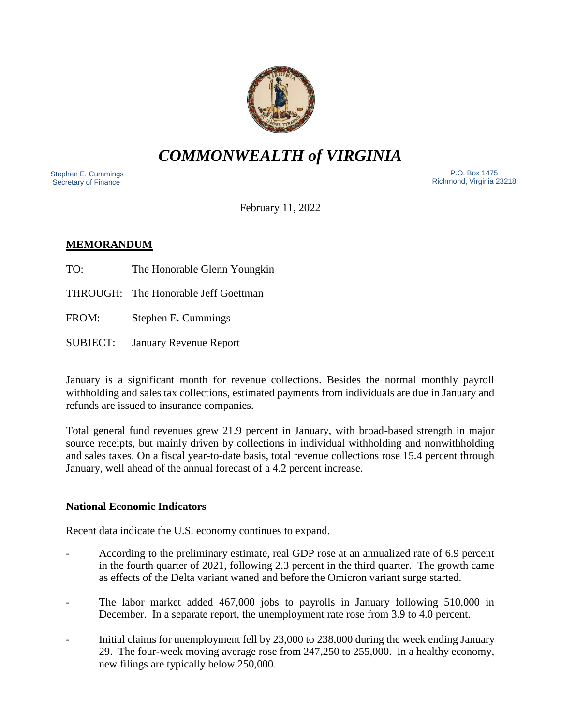

# *COMMONWEALTH of VIRGINIA*

 Stephen E. Cummings Secretary of Finance

 P.O. Box 1475 Richmond, Virginia 23218

February 11, 2022

## **MEMORANDUM**

- TO: The Honorable Glenn Youngkin
- THROUGH: The Honorable Jeff Goettman
- FROM: Stephen E. Cummings
- SUBJECT: January Revenue Report

January is a significant month for revenue collections. Besides the normal monthly payroll withholding and sales tax collections, estimated payments from individuals are due in January and refunds are issued to insurance companies.

Total general fund revenues grew 21.9 percent in January, with broad-based strength in major source receipts, but mainly driven by collections in individual withholding and nonwithholding and sales taxes. On a fiscal year-to-date basis, total revenue collections rose 15.4 percent through January, well ahead of the annual forecast of a 4.2 percent increase.

### **National Economic Indicators**

Recent data indicate the U.S. economy continues to expand.

- According to the preliminary estimate, real GDP rose at an annualized rate of 6.9 percent in the fourth quarter of 2021, following 2.3 percent in the third quarter. The growth came as effects of the Delta variant waned and before the Omicron variant surge started.
- The labor market added 467,000 jobs to payrolls in January following 510,000 in December. In a separate report, the unemployment rate rose from 3.9 to 4.0 percent.
- Initial claims for unemployment fell by 23,000 to 238,000 during the week ending January 29. The four-week moving average rose from 247,250 to 255,000. In a healthy economy, new filings are typically below 250,000.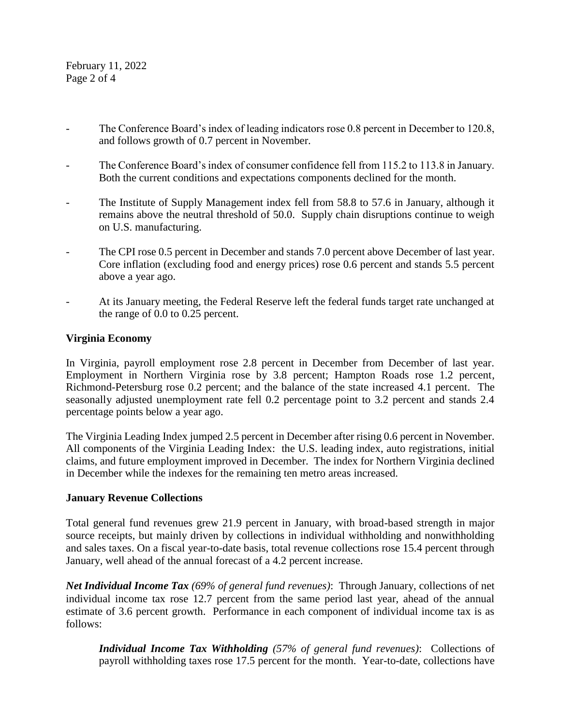February 11, 2022 Page 2 of 4

- The Conference Board's index of leading indicators rose 0.8 percent in December to 120.8, and follows growth of 0.7 percent in November.
- The Conference Board's index of consumer confidence fell from 115.2 to 113.8 in January. Both the current conditions and expectations components declined for the month.
- The Institute of Supply Management index fell from 58.8 to 57.6 in January, although it remains above the neutral threshold of 50.0. Supply chain disruptions continue to weigh on U.S. manufacturing.
- The CPI rose 0.5 percent in December and stands 7.0 percent above December of last year. Core inflation (excluding food and energy prices) rose 0.6 percent and stands 5.5 percent above a year ago.
- At its January meeting, the Federal Reserve left the federal funds target rate unchanged at the range of 0.0 to 0.25 percent.

### **Virginia Economy**

In Virginia, payroll employment rose 2.8 percent in December from December of last year. Employment in Northern Virginia rose by 3.8 percent; Hampton Roads rose 1.2 percent, Richmond-Petersburg rose 0.2 percent; and the balance of the state increased 4.1 percent. The seasonally adjusted unemployment rate fell 0.2 percentage point to 3.2 percent and stands 2.4 percentage points below a year ago.

The Virginia Leading Index jumped 2.5 percent in December after rising 0.6 percent in November. All components of the Virginia Leading Index: the U.S. leading index, auto registrations, initial claims, and future employment improved in December. The index for Northern Virginia declined in December while the indexes for the remaining ten metro areas increased.

#### **January Revenue Collections**

Total general fund revenues grew 21.9 percent in January, with broad-based strength in major source receipts, but mainly driven by collections in individual withholding and nonwithholding and sales taxes. On a fiscal year-to-date basis, total revenue collections rose 15.4 percent through January, well ahead of the annual forecast of a 4.2 percent increase.

*Net Individual Income Tax (69% of general fund revenues)*: Through January, collections of net individual income tax rose 12.7 percent from the same period last year, ahead of the annual estimate of 3.6 percent growth. Performance in each component of individual income tax is as follows:

*Individual Income Tax Withholding (57% of general fund revenues)*: Collections of payroll withholding taxes rose 17.5 percent for the month. Year-to-date, collections have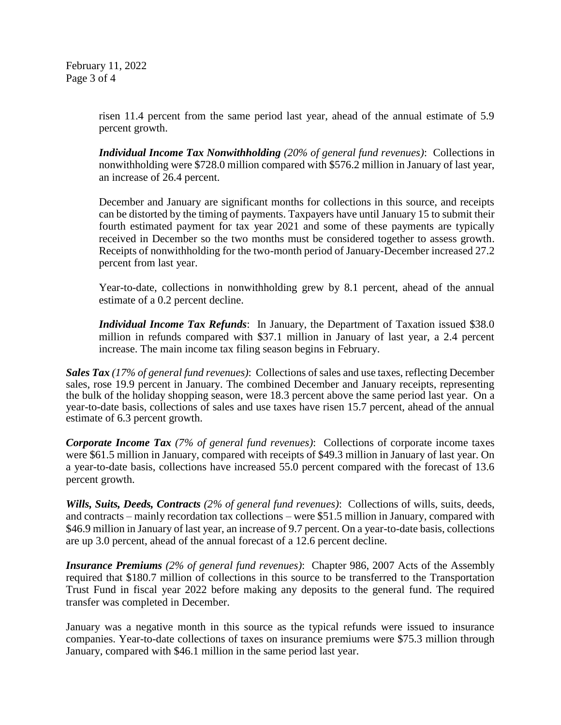February 11, 2022 Page 3 of 4

> risen 11.4 percent from the same period last year, ahead of the annual estimate of 5.9 percent growth.

> *Individual Income Tax Nonwithholding (20% of general fund revenues)*: Collections in nonwithholding were \$728.0 million compared with \$576.2 million in January of last year, an increase of 26.4 percent.

> December and January are significant months for collections in this source, and receipts can be distorted by the timing of payments. Taxpayers have until January 15 to submit their fourth estimated payment for tax year 2021 and some of these payments are typically received in December so the two months must be considered together to assess growth. Receipts of nonwithholding for the two-month period of January-December increased 27.2 percent from last year.

> Year-to-date, collections in nonwithholding grew by 8.1 percent, ahead of the annual estimate of a 0.2 percent decline.

> *Individual Income Tax Refunds*: In January, the Department of Taxation issued \$38.0 million in refunds compared with \$37.1 million in January of last year, a 2.4 percent increase. The main income tax filing season begins in February.

*Sales Tax (17% of general fund revenues)*: Collections of sales and use taxes, reflecting December sales, rose 19.9 percent in January. The combined December and January receipts, representing the bulk of the holiday shopping season, were 18.3 percent above the same period last year. On a year-to-date basis, collections of sales and use taxes have risen 15.7 percent, ahead of the annual estimate of 6.3 percent growth.

*Corporate Income Tax (7% of general fund revenues)*: Collections of corporate income taxes were \$61.5 million in January, compared with receipts of \$49.3 million in January of last year. On a year-to-date basis, collections have increased 55.0 percent compared with the forecast of 13.6 percent growth.

*Wills, Suits, Deeds, Contracts (2% of general fund revenues)*: Collections of wills, suits, deeds, and contracts – mainly recordation tax collections – were \$51.5 million in January, compared with \$46.9 million in January of last year, an increase of 9.7 percent. On a year-to-date basis, collections are up 3.0 percent, ahead of the annual forecast of a 12.6 percent decline.

*Insurance Premiums (2% of general fund revenues)*: Chapter 986, 2007 Acts of the Assembly required that \$180.7 million of collections in this source to be transferred to the Transportation Trust Fund in fiscal year 2022 before making any deposits to the general fund. The required transfer was completed in December.

January was a negative month in this source as the typical refunds were issued to insurance companies. Year-to-date collections of taxes on insurance premiums were \$75.3 million through January, compared with \$46.1 million in the same period last year.